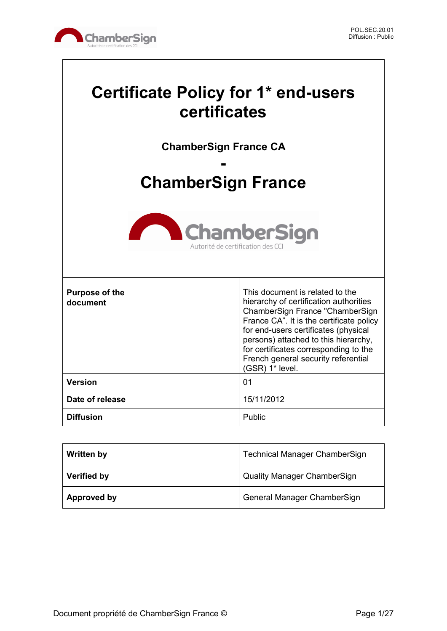

# **Certificate Policy for 1\* end-users certificates**

**ChamberSign France CA**

# **- ChamberSign France**



| <b>Purpose of the</b><br>document | This document is related to the<br>hierarchy of certification authorities<br>ChamberSign France "ChamberSign<br>France CA". It is the certificate policy<br>for end-users certificates (physical<br>persons) attached to this hierarchy,<br>for certificates corresponding to the<br>French general security referential<br>(GSR) 1* level. |
|-----------------------------------|---------------------------------------------------------------------------------------------------------------------------------------------------------------------------------------------------------------------------------------------------------------------------------------------------------------------------------------------|
| <b>Version</b>                    | 01                                                                                                                                                                                                                                                                                                                                          |
| Date of release                   | 15/11/2012                                                                                                                                                                                                                                                                                                                                  |
| <b>Diffusion</b>                  | Public                                                                                                                                                                                                                                                                                                                                      |

| <b>Written by</b>  | <b>Technical Manager ChamberSign</b> |
|--------------------|--------------------------------------|
| <b>Verified by</b> | <b>Quality Manager ChamberSign</b>   |
| Approved by        | General Manager ChamberSign          |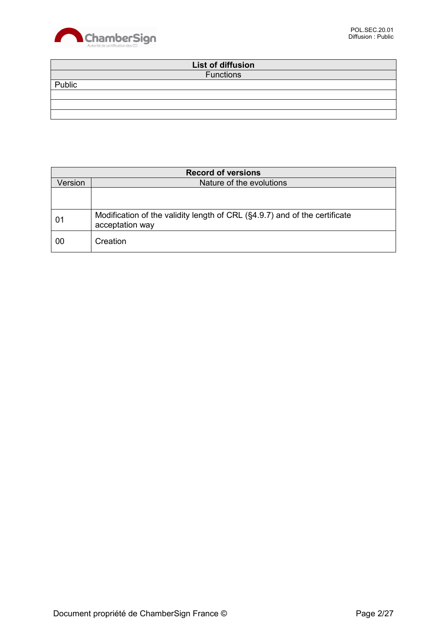

|        | List of diffusion |  |
|--------|-------------------|--|
|        | <b>Functions</b>  |  |
| Public |                   |  |
|        |                   |  |
|        |                   |  |
|        |                   |  |

| <b>Record of versions</b> |                                                                                               |  |
|---------------------------|-----------------------------------------------------------------------------------------------|--|
| Version                   | Nature of the evolutions                                                                      |  |
|                           |                                                                                               |  |
|                           |                                                                                               |  |
| 01                        | Modification of the validity length of CRL (§4.9.7) and of the certificate<br>acceptation way |  |
| 00                        | Creation                                                                                      |  |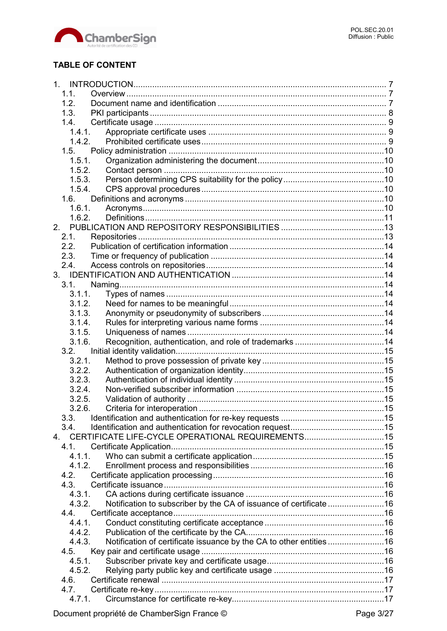

# **TABLE OF CONTENT**

|    | 1 <sup>1</sup> |                                                                     |  |
|----|----------------|---------------------------------------------------------------------|--|
|    | 1.1.           |                                                                     |  |
|    | 1.2.           |                                                                     |  |
|    | 1.3.           |                                                                     |  |
|    | 1.4.           |                                                                     |  |
|    | 1.4.1.         |                                                                     |  |
|    | 1.4.2.         |                                                                     |  |
|    | 1.5.           |                                                                     |  |
|    | 1.5.1.         |                                                                     |  |
|    | 1.5.2.         |                                                                     |  |
|    | 1.5.3.         |                                                                     |  |
|    | 1.5.4.         |                                                                     |  |
|    | 1.6.           |                                                                     |  |
|    | 1.6.1.         |                                                                     |  |
|    | 1.6.2.         |                                                                     |  |
|    |                |                                                                     |  |
| 2. |                |                                                                     |  |
|    | 2.1.           |                                                                     |  |
|    | 2.2.           |                                                                     |  |
|    | 2.3.           |                                                                     |  |
|    | 2.4.           |                                                                     |  |
|    |                |                                                                     |  |
|    | 3.1.           |                                                                     |  |
|    | 3.1.1.         |                                                                     |  |
|    | 3.1.2.         |                                                                     |  |
|    | 3.1.3.         |                                                                     |  |
|    | 3.1.4.         |                                                                     |  |
|    | 3.1.5.         |                                                                     |  |
|    | 3.1.6.         |                                                                     |  |
|    | 3.2.           |                                                                     |  |
|    | 3.2.1.         |                                                                     |  |
|    | 3.2.2.         |                                                                     |  |
|    | 3.2.3.         |                                                                     |  |
|    | 3.2.4.         |                                                                     |  |
|    | 3.2.5.         |                                                                     |  |
|    | 3.2.6.         |                                                                     |  |
|    | 3.3.           |                                                                     |  |
|    | 3.4.           |                                                                     |  |
| 4. |                | CERTIFICATE LIFE-CYCLE OPERATIONAL REQUIREMENTS15                   |  |
|    | 4.1.           |                                                                     |  |
|    | 4.1.1.         |                                                                     |  |
|    | 4.1.2.         |                                                                     |  |
|    | 4.2.           |                                                                     |  |
|    | 4.3.           |                                                                     |  |
|    | 4.3.1.         |                                                                     |  |
|    | 4.3.2.         | Notification to subscriber by the CA of issuance of certificate 16  |  |
|    | 4.4.           |                                                                     |  |
|    | 4.4.1.         |                                                                     |  |
|    | 4.4.2.         |                                                                     |  |
|    | 4.4.3.         | Notification of certificate issuance by the CA to other entities 16 |  |
|    | 4.5.           |                                                                     |  |
|    | 4.5.1.         |                                                                     |  |
|    | 4.5.2.         |                                                                     |  |
|    | 4.6.           |                                                                     |  |
|    | 4.7.           |                                                                     |  |
|    | 4.7.1.         |                                                                     |  |
|    |                |                                                                     |  |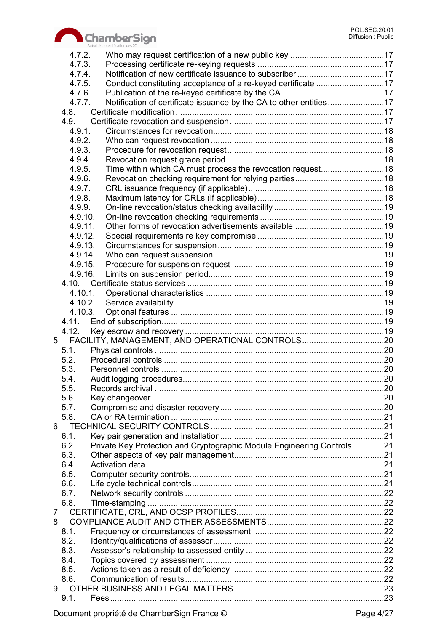

|         | Autorité de certification des CCI                                       |  |
|---------|-------------------------------------------------------------------------|--|
| 4.7.2.  |                                                                         |  |
| 4.7.3.  |                                                                         |  |
| 4.7.4.  |                                                                         |  |
| 4.7.5.  | Conduct constituting acceptance of a re-keyed certificate 17            |  |
| 4.7.6.  |                                                                         |  |
| 4.7.7.  |                                                                         |  |
| 4.8.    |                                                                         |  |
| 4.9.    |                                                                         |  |
| 4.9.1.  |                                                                         |  |
| 4.9.2.  |                                                                         |  |
| 4.9.3.  |                                                                         |  |
| 4.9.4.  |                                                                         |  |
| 4.9.5.  |                                                                         |  |
| 4.9.6.  |                                                                         |  |
| 4.9.7.  |                                                                         |  |
| 4.9.8.  |                                                                         |  |
| 4.9.9.  |                                                                         |  |
| 4.9.10. |                                                                         |  |
| 4.9.11. |                                                                         |  |
| 4.9.12. |                                                                         |  |
| 4.9.13. |                                                                         |  |
| 4.9.14. |                                                                         |  |
| 4.9.15. |                                                                         |  |
| 4.9.16. |                                                                         |  |
|         |                                                                         |  |
|         |                                                                         |  |
| 4.10.1. |                                                                         |  |
| 4.10.2. |                                                                         |  |
| 4.10.3. |                                                                         |  |
| 4.11.   |                                                                         |  |
| 4.12.   |                                                                         |  |
|         | 5. FACILITY, MANAGEMENT, AND OPERATIONAL CONTROLS20                     |  |
| 5.1.    |                                                                         |  |
| 5.2.    |                                                                         |  |
| 5.3.    |                                                                         |  |
| 5.4     | Audit logging procedures                                                |  |
| 5.5.    |                                                                         |  |
| 5.6.    |                                                                         |  |
| 5.7.    |                                                                         |  |
| 5.8.    |                                                                         |  |
|         |                                                                         |  |
| 6.1.    |                                                                         |  |
| 6.2.    | Private Key Protection and Cryptographic Module Engineering Controls 21 |  |
| 6.3.    |                                                                         |  |
| 6.4.    |                                                                         |  |
| 6.5.    |                                                                         |  |
| 6.6.    |                                                                         |  |
| 6.7.    |                                                                         |  |
| 6.8.    |                                                                         |  |
|         |                                                                         |  |
|         |                                                                         |  |
| 8.1.    |                                                                         |  |
| 8.2.    |                                                                         |  |
| 8.3.    |                                                                         |  |
| 8.4.    |                                                                         |  |
| 8.5.    |                                                                         |  |
| 8.6.    |                                                                         |  |
|         |                                                                         |  |
| 9.1.    |                                                                         |  |
|         |                                                                         |  |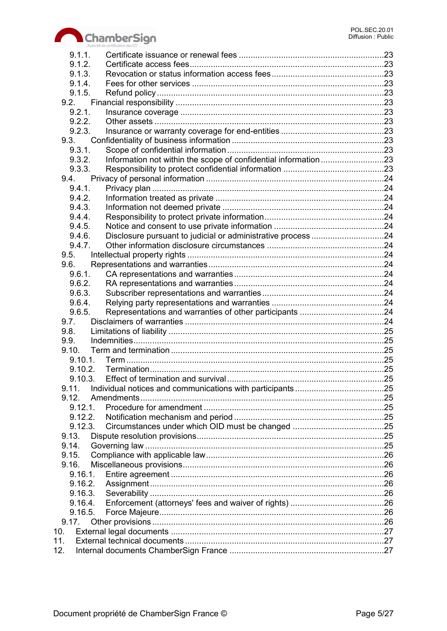

|       | 9.1.1.     |                                                                 |  |
|-------|------------|-----------------------------------------------------------------|--|
|       | 9.1.2.     |                                                                 |  |
|       | 9.1.3.     |                                                                 |  |
|       | 9.1.4.     |                                                                 |  |
|       | 9.1.5.     |                                                                 |  |
|       | 9.2.       |                                                                 |  |
|       | 9.2.1.     |                                                                 |  |
|       | 9.2.2.     |                                                                 |  |
|       | 9.2.3.     |                                                                 |  |
|       | 9.3.       |                                                                 |  |
|       | 9.3.1.     |                                                                 |  |
|       | 9.3.2.     | Information not within the scope of confidential information 23 |  |
|       | 9.3.3.     |                                                                 |  |
|       | 9.4.       |                                                                 |  |
|       | 9.4.1.     |                                                                 |  |
|       | 9.4.2.     |                                                                 |  |
|       | 9.4.3.     |                                                                 |  |
|       | 9.4.4.     |                                                                 |  |
|       | 9.4.5.     |                                                                 |  |
|       |            |                                                                 |  |
|       | 9.4.6.     |                                                                 |  |
|       | 9.4.7.     |                                                                 |  |
|       | 9.5.       |                                                                 |  |
|       | 9.6.       |                                                                 |  |
|       | 9.6.1.     |                                                                 |  |
|       | 9.6.2.     |                                                                 |  |
|       | 9.6.3.     |                                                                 |  |
|       | 9.6.4.     |                                                                 |  |
|       | 9.6.5.     |                                                                 |  |
| 9.7.  |            |                                                                 |  |
| 9.8.  |            |                                                                 |  |
| 9.9.  |            |                                                                 |  |
| 9.10. |            |                                                                 |  |
|       | 9.10.1.    |                                                                 |  |
|       |            |                                                                 |  |
|       |            |                                                                 |  |
| 9.11. |            |                                                                 |  |
| 9.12. |            |                                                                 |  |
|       | $9.12.1$ . |                                                                 |  |
|       | 9.12.2.    |                                                                 |  |
|       | 9.12.3.    |                                                                 |  |
| 9.13. |            |                                                                 |  |
| 9.14. |            |                                                                 |  |
| 9.15. |            |                                                                 |  |
| 9.16. |            |                                                                 |  |
|       |            |                                                                 |  |
|       | 9.16.2.    |                                                                 |  |
|       | 9.16.3.    |                                                                 |  |
|       | 9.16.4.    |                                                                 |  |
|       | 9.16.5.    |                                                                 |  |
|       | 9.17.      |                                                                 |  |
| 10.   |            |                                                                 |  |
| 11.   |            |                                                                 |  |
|       |            |                                                                 |  |
| 12.   |            |                                                                 |  |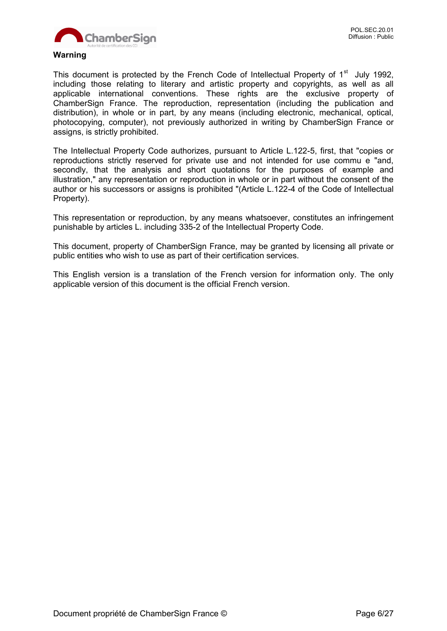

#### **Warning**

This document is protected by the French Code of Intellectual Property of 1<sup>st</sup> July 1992, including those relating to literary and artistic property and copyrights, as well as all applicable international conventions. These rights are the exclusive property of ChamberSign France. The reproduction, representation (including the publication and distribution), in whole or in part, by any means (including electronic, mechanical, optical, photocopying, computer), not previously authorized in writing by ChamberSign France or assigns, is strictly prohibited.

The Intellectual Property Code authorizes, pursuant to Article L.122-5, first, that "copies or reproductions strictly reserved for private use and not intended for use commu e "and, secondly, that the analysis and short quotations for the purposes of example and illustration," any representation or reproduction in whole or in part without the consent of the author or his successors or assigns is prohibited "(Article L.122-4 of the Code of Intellectual Property).

This representation or reproduction, by any means whatsoever, constitutes an infringement punishable by articles L. including 335-2 of the Intellectual Property Code.

This document, property of ChamberSign France, may be granted by licensing all private or public entities who wish to use as part of their certification services.

This English version is a translation of the French version for information only. The only applicable version of this document is the official French version.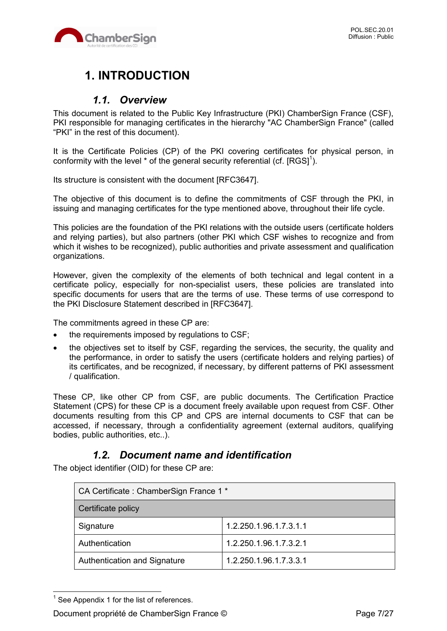

# **1. INTRODUCTION**

# *1.1. Overview*

This document is related to the Public Key Infrastructure (PKI) ChamberSign France (CSF), PKI responsible for managing certificates in the hierarchy "AC ChamberSign France" (called "PKI" in the rest of this document).

It is the Certificate Policies (CP) of the PKI covering certificates for physical person, in conformity with the level  $^*$  of the general security referential (cf. [RGS]<sup>1</sup>).

Its structure is consistent with the document [RFC3647].

The objective of this document is to define the commitments of CSF through the PKI, in issuing and managing certificates for the type mentioned above, throughout their life cycle.

This policies are the foundation of the PKI relations with the outside users (certificate holders and relying parties), but also partners (other PKI which CSF wishes to recognize and from which it wishes to be recognized), public authorities and private assessment and qualification organizations.

However, given the complexity of the elements of both technical and legal content in a certificate policy, especially for non-specialist users, these policies are translated into specific documents for users that are the terms of use. These terms of use correspond to the PKI Disclosure Statement described in [RFC3647].

The commitments agreed in these CP are:

- the requirements imposed by regulations to CSF;
- the objectives set to itself by CSF, regarding the services, the security, the quality and the performance, in order to satisfy the users (certificate holders and relying parties) of its certificates, and be recognized, if necessary, by different patterns of PKI assessment / qualification.

These CP, like other CP from CSF, are public documents. The Certification Practice Statement (CPS) for these CP is a document freely available upon request from CSF. Other documents resulting from this CP and CPS are internal documents to CSF that can be accessed, if necessary, through a confidentiality agreement (external auditors, qualifying bodies, public authorities, etc..).

# *1.2. Document name and identification*

The object identifier (OID) for these CP are:

| CA Certificate: ChamberSign France 1* |                        |  |
|---------------------------------------|------------------------|--|
| Certificate policy                    |                        |  |
| Signature                             | 1.2.250.1.96.1.7.3.1.1 |  |
| Authentication                        | 1.2.250.1.96.1.7.3.2.1 |  |
| Authentication and Signature          | 1.2.250.1.96.1.7.3.3.1 |  |

 $<sup>1</sup>$  See Appendix 1 for the list of references.</sup>

 $\overline{a}$ 

Document propriété de ChamberSign France © Page 7/27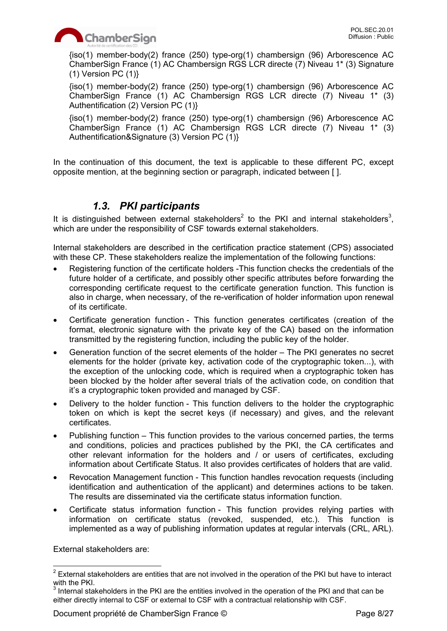

{iso(1) member-body(2) france (250) type-org(1) chambersign (96) Arborescence AC ChamberSign France (1) AC Chambersign RGS LCR directe (7) Niveau 1\* (3) Signature  $(1)$  Version PC  $(1)$ }

{iso(1) member-body(2) france (250) type-org(1) chambersign (96) Arborescence AC ChamberSign France (1) AC Chambersign RGS LCR directe (7) Niveau 1\* (3) Authentification (2) Version PC (1)}

{iso(1) member-body(2) france (250) type-org(1) chambersign (96) Arborescence AC ChamberSign France (1) AC Chambersign RGS LCR directe (7) Niveau 1\* (3) Authentification&Signature (3) Version PC (1)}

In the continuation of this document, the text is applicable to these different PC, except opposite mention, at the beginning section or paragraph, indicated between [ ].

# *1.3. PKI participants*

It is distinguished between external stakeholders<sup>2</sup> to the PKI and internal stakeholders<sup>3</sup>, which are under the responsibility of CSF towards external stakeholders.

Internal stakeholders are described in the certification practice statement (CPS) associated with these CP. These stakeholders realize the implementation of the following functions:

- Registering function of the certificate holders -This function checks the credentials of the future holder of a certificate, and possibly other specific attributes before forwarding the corresponding certificate request to the certificate generation function. This function is also in charge, when necessary, of the re-verification of holder information upon renewal of its certificate.
- Certificate generation function This function generates certificates (creation of the format, electronic signature with the private key of the CA) based on the information transmitted by the registering function, including the public key of the holder.
- Generation function of the secret elements of the holder The PKI generates no secret elements for the holder (private key, activation code of the cryptographic token...), with the exception of the unlocking code, which is required when a cryptographic token has been blocked by the holder after several trials of the activation code, on condition that it's a cryptographic token provided and managed by CSF.
- Delivery to the holder function This function delivers to the holder the cryptographic token on which is kept the secret keys (if necessary) and gives, and the relevant certificates.
- Publishing function This function provides to the various concerned parties, the terms and conditions, policies and practices published by the PKI, the CA certificates and other relevant information for the holders and / or users of certificates, excluding information about Certificate Status. It also provides certificates of holders that are valid.
- Revocation Management function This function handles revocation requests (including identification and authentication of the applicant) and determines actions to be taken. The results are disseminated via the certificate status information function.
- Certificate status information function This function provides relying parties with information on certificate status (revoked, suspended, etc.). This function is implemented as a way of publishing information updates at regular intervals (CRL, ARL).

External stakeholders are:

Document propriété de ChamberSign France © Page 8/27

  $2$  External stakeholders are entities that are not involved in the operation of the PKI but have to interact with the PKI.

 $3$  Internal stakeholders in the PKI are the entities involved in the operation of the PKI and that can be either directly internal to CSF or external to CSF with a contractual relationship with CSF.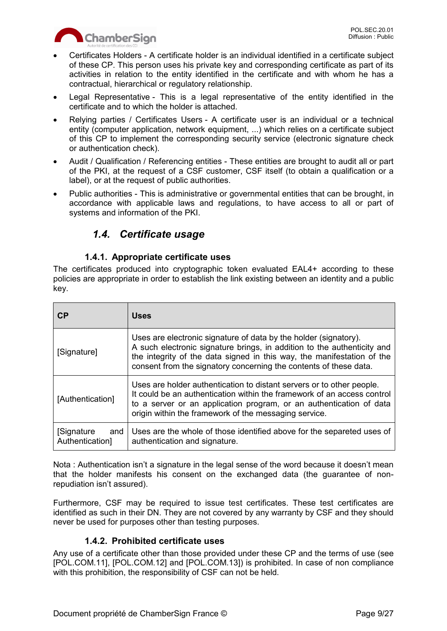

- Certificates Holders A certificate holder is an individual identified in a certificate subject of these CP. This person uses his private key and corresponding certificate as part of its activities in relation to the entity identified in the certificate and with whom he has a contractual, hierarchical or regulatory relationship.
- Legal Representative This is a legal representative of the entity identified in the certificate and to which the holder is attached.
- Relying parties / Certificates Users A certificate user is an individual or a technical entity (computer application, network equipment, ...) which relies on a certificate subject of this CP to implement the corresponding security service (electronic signature check or authentication check).
- Audit / Qualification / Referencing entities These entities are brought to audit all or part of the PKI, at the request of a CSF customer, CSF itself (to obtain a qualification or a label), or at the request of public authorities.
- Public authorities This is administrative or governmental entities that can be brought, in accordance with applicable laws and regulations, to have access to all or part of systems and information of the PKI.

# *1.4. Certificate usage*

# **1.4.1. Appropriate certificate uses**

The certificates produced into cryptographic token evaluated EAL4+ according to these policies are appropriate in order to establish the link existing between an identity and a public key.

| CP                                    | <b>Uses</b>                                                                                                                                                                                                                                                                                |
|---------------------------------------|--------------------------------------------------------------------------------------------------------------------------------------------------------------------------------------------------------------------------------------------------------------------------------------------|
| [Signature]                           | Uses are electronic signature of data by the holder (signatory).<br>A such electronic signature brings, in addition to the authenticity and<br>the integrity of the data signed in this way, the manifestation of the<br>consent from the signatory concerning the contents of these data. |
| [Authentication]                      | Uses are holder authentication to distant servers or to other people.<br>It could be an authentication within the framework of an access control<br>to a server or an application program, or an authentication of data<br>origin within the framework of the messaging service.           |
| [Signature]<br>and<br>Authentication] | Uses are the whole of those identified above for the separeted uses of<br>authentication and signature.                                                                                                                                                                                    |

Nota : Authentication isn't a signature in the legal sense of the word because it doesn't mean that the holder manifests his consent on the exchanged data (the guarantee of nonrepudiation isn't assured).

Furthermore, CSF may be required to issue test certificates. These test certificates are identified as such in their DN. They are not covered by any warranty by CSF and they should never be used for purposes other than testing purposes.

#### **1.4.2. Prohibited certificate uses**

Any use of a certificate other than those provided under these CP and the terms of use (see [POL.COM.11], [POL.COM.12] and [POL.COM.13]) is prohibited. In case of non compliance with this prohibition, the responsibility of CSF can not be held.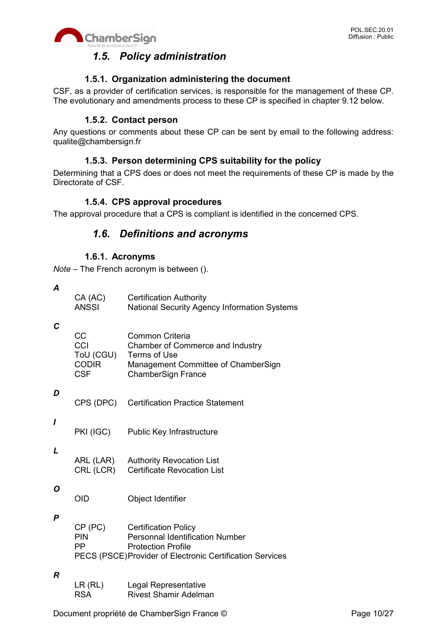

# *1.5. Policy administration*

### **1.5.1. Organization administering the document**

CSF, as a provider of certification services, is responsible for the management of these CP. The evolutionary and amendments process to these CP is specified in chapter 9.12 below.

#### **1.5.2. Contact person**

Any questions or comments about these CP can be sent by email to the following address: qualite@chambersign.fr

# **1.5.3. Person determining CPS suitability for the policy**

Determining that a CPS does or does not meet the requirements of these CP is made by the Directorate of CSF.

#### **1.5.4. CPS approval procedures**

The approval procedure that a CPS is compliant is identified in the concerned CPS.

# *1.6. Definitions and acronyms*

#### **1.6.1. Acronyms**

*Note* – The French acronym is between ().

*A*

| CA (AC) | <b>Certification Authority</b>               |
|---------|----------------------------------------------|
| ANSSI   | National Security Agency Information Systems |

#### *C*

| CC.          | Common Criteria                     |
|--------------|-------------------------------------|
| CCI          | Chamber of Commerce and Industry    |
| ToU (CGU)    | Terms of Use                        |
| <b>CODIR</b> | Management Committee of ChamberSign |
| <b>CSF</b>   | <b>ChamberSign France</b>           |
|              |                                     |

#### *D*

| CPS (DPC) Certification Practice Statement |
|--------------------------------------------|
|                                            |

PKI (IGC) Public Key Infrastructure

#### *L*

*I*

ARL (LAR) Authority Revocation List CRL (LCR) Certificate Revocation List

#### *O*

OID Object Identifier

#### *P*

| CP (PC)                                                   | <b>Certification Policy</b>            |
|-----------------------------------------------------------|----------------------------------------|
| <b>PIN</b>                                                | <b>Personnal Identification Number</b> |
| - PP                                                      | <b>Protection Profile</b>              |
| PECS (PSCE) Provider of Electronic Certification Services |                                        |

#### *R*

| LR(RL)     | Legal Representative         |
|------------|------------------------------|
| <b>RSA</b> | <b>Rivest Shamir Adelman</b> |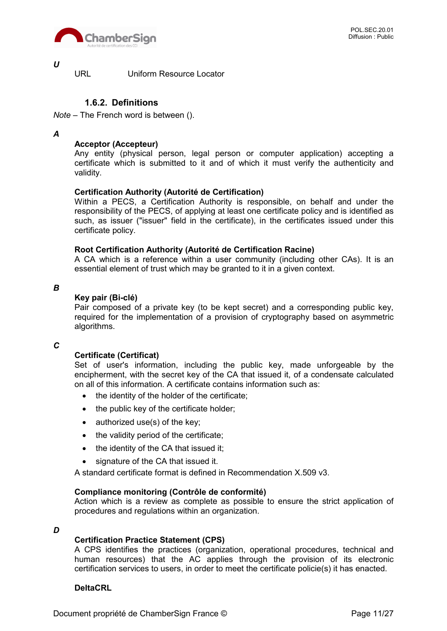

*U*

URL Uniform Resource Locator

### **1.6.2. Definitions**

*Note* – The French word is between ().

#### *A*

#### **Acceptor (Accepteur)**

Any entity (physical person, legal person or computer application) accepting a certificate which is submitted to it and of which it must verify the authenticity and validity.

#### **Certification Authority (Autorité de Certification)**

Within a PECS, a Certification Authority is responsible, on behalf and under the responsibility of the PECS, of applying at least one certificate policy and is identified as such, as issuer ("issuer" field in the certificate), in the certificates issued under this certificate policy.

#### **Root Certification Authority (Autorité de Certification Racine)**

A CA which is a reference within a user community (including other CAs). It is an essential element of trust which may be granted to it in a given context.

*B*

#### **Key pair (Bi-clé)**

Pair composed of a private key (to be kept secret) and a corresponding public key, required for the implementation of a provision of cryptography based on asymmetric algorithms.

#### *C*

#### **Certificate (Certificat)**

Set of user's information, including the public key, made unforgeable by the encipherment, with the secret key of the CA that issued it, of a condensate calculated on all of this information. A certificate contains information such as:

- the identity of the holder of the certificate;
- the public key of the certificate holder;
- $\bullet$  authorized use(s) of the key;
- the validity period of the certificate;
- the identity of the CA that issued it;
- signature of the CA that issued it.

A standard certificate format is defined in Recommendation X.509 v3.

#### **Compliance monitoring (Contrôle de conformité)**

Action which is a review as complete as possible to ensure the strict application of procedures and regulations within an organization.

#### *D*

#### **Certification Practice Statement (CPS)**

A CPS identifies the practices (organization, operational procedures, technical and human resources) that the AC applies through the provision of its electronic certification services to users, in order to meet the certificate policie(s) it has enacted.

#### **DeltaCRL**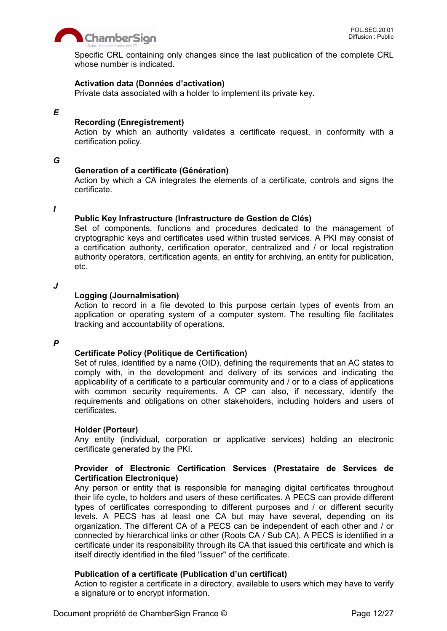

Specific CRL containing only changes since the last publication of the complete CRL whose number is indicated.

#### **Activation data (Données d'activation)**

Private data associated with a holder to implement its private key.

#### *E*

#### **Recording (Enregistrement)**

Action by which an authority validates a certificate request, in conformity with a certification policy.

#### *G*

#### **Generation of a certificate (Génération)**

Action by which a CA integrates the elements of a certificate, controls and signs the certificate.

#### *I*

#### **Public Key Infrastructure (Infrastructure de Gestion de Clés)**

Set of components, functions and procedures dedicated to the management of cryptographic keys and certificates used within trusted services. A PKI may consist of a certification authority, certification operator, centralized and / or local registration authority operators, certification agents, an entity for archiving, an entity for publication, etc.

#### *J*

#### **Logging (Journalmisation)**

Action to record in a file devoted to this purpose certain types of events from an application or operating system of a computer system. The resulting file facilitates tracking and accountability of operations.

#### *P*

#### **Certificate Policy (Politique de Certification)**

Set of rules, identified by a name (OID), defining the requirements that an AC states to comply with, in the development and delivery of its services and indicating the applicability of a certificate to a particular community and / or to a class of applications with common security requirements. A CP can also, if necessary, identify the requirements and obligations on other stakeholders, including holders and users of certificates.

#### **Holder (Porteur)**

Any entity (individual, corporation or applicative services) holding an electronic certificate generated by the PKI.

#### **Provider of Electronic Certification Services (Prestataire de Services de Certification Electronique)**

Any person or entity that is responsible for managing digital certificates throughout their life cycle, to holders and users of these certificates. A PECS can provide different types of certificates corresponding to different purposes and / or different security levels. A PECS has at least one CA but may have several, depending on its organization. The different CA of a PECS can be independent of each other and / or connected by hierarchical links or other (Roots CA / Sub CA). A PECS is identified in a certificate under its responsibility through its CA that issued this certificate and which is itself directly identified in the filed "issuer" of the certificate.

#### **Publication of a certificate (Publication d'un certificat)**

Action to register a certificate in a directory, available to users which may have to verify a signature or to encrypt information.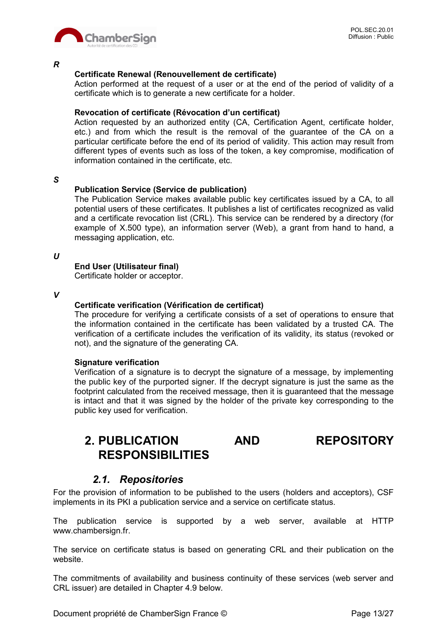

*R*

#### **Certificate Renewal (Renouvellement de certificate)**

Action performed at the request of a user or at the end of the period of validity of a certificate which is to generate a new certificate for a holder.

#### **Revocation of certificate (Révocation d'un certificat)**

Action requested by an authorized entity (CA, Certification Agent, certificate holder, etc.) and from which the result is the removal of the guarantee of the CA on a particular certificate before the end of its period of validity. This action may result from different types of events such as loss of the token, a key compromise, modification of information contained in the certificate, etc.

*S*

#### **Publication Service (Service de publication)**

The Publication Service makes available public key certificates issued by a CA, to all potential users of these certificates. It publishes a list of certificates recognized as valid and a certificate revocation list (CRL). This service can be rendered by a directory (for example of X.500 type), an information server (Web), a grant from hand to hand, a messaging application, etc.

*U*

#### **End User (Utilisateur final)**

Certificate holder or acceptor.

*V*

#### **Certificate verification (Vérification de certificat)**

The procedure for verifying a certificate consists of a set of operations to ensure that the information contained in the certificate has been validated by a trusted CA. The verification of a certificate includes the verification of its validity, its status (revoked or not), and the signature of the generating CA.

#### **Signature verification**

Verification of a signature is to decrypt the signature of a message, by implementing the public key of the purported signer. If the decrypt signature is just the same as the footprint calculated from the received message, then it is guaranteed that the message is intact and that it was signed by the holder of the private key corresponding to the public key used for verification.

# **2. PUBLICATION AND REPOSITORY RESPONSIBILITIES**

#### *2.1. Repositories*

For the provision of information to be published to the users (holders and acceptors), CSF implements in its PKI a publication service and a service on certificate status.

The publication service is supported by a web server, available at HTTP www.chambersign.fr.

The service on certificate status is based on generating CRL and their publication on the website.

The commitments of availability and business continuity of these services (web server and CRL issuer) are detailed in Chapter 4.9 below.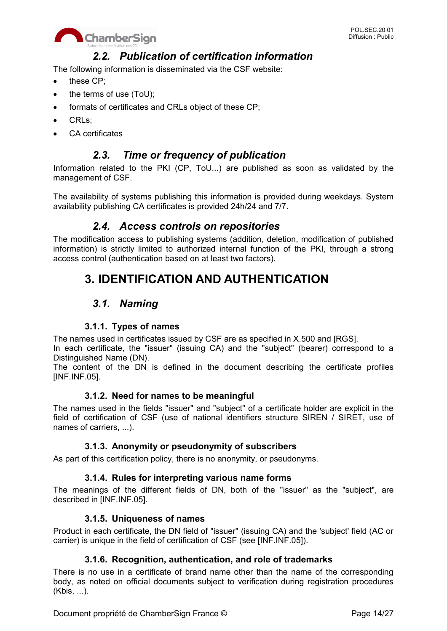

# *2.2. Publication of certification information*

The following information is disseminated via the CSF website:

- these CP:
- the terms of use (ToU);
- formats of certificates and CRLs object of these CP;
- CRLs:
- CA certificates

# *2.3. Time or frequency of publication*

Information related to the PKI (CP, ToU...) are published as soon as validated by the management of CSF.

The availability of systems publishing this information is provided during weekdays. System availability publishing CA certificates is provided 24h/24 and 7/7.

# *2.4. Access controls on repositories*

The modification access to publishing systems (addition, deletion, modification of published information) is strictly limited to authorized internal function of the PKI, through a strong access control (authentication based on at least two factors).

# **3. IDENTIFICATION AND AUTHENTICATION**

# *3.1. Naming*

#### **3.1.1. Types of names**

The names used in certificates issued by CSF are as specified in X.500 and [RGS].

In each certificate, the "issuer" (issuing CA) and the "subject" (bearer) correspond to a Distinguished Name (DN).

The content of the DN is defined in the document describing the certificate profiles [INF.INF.05].

#### **3.1.2. Need for names to be meaningful**

The names used in the fields "issuer" and "subject" of a certificate holder are explicit in the field of certification of CSF (use of national identifiers structure SIREN / SIRET, use of names of carriers, ...).

#### **3.1.3. Anonymity or pseudonymity of subscribers**

As part of this certification policy, there is no anonymity, or pseudonyms.

#### **3.1.4. Rules for interpreting various name forms**

The meanings of the different fields of DN, both of the "issuer" as the "subject", are described in [INF.INF.05].

#### **3.1.5. Uniqueness of names**

Product in each certificate, the DN field of "issuer" (issuing CA) and the 'subject' field (AC or carrier) is unique in the field of certification of CSF (see [INF.INF.05]).

#### **3.1.6. Recognition, authentication, and role of trademarks**

There is no use in a certificate of brand name other than the name of the corresponding body, as noted on official documents subject to verification during registration procedures (Kbis, ...).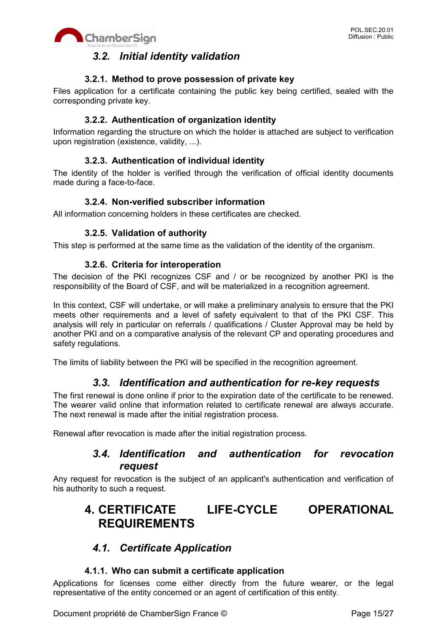

# *3.2. Initial identity validation*

#### **3.2.1. Method to prove possession of private key**

Files application for a certificate containing the public key being certified, sealed with the corresponding private key.

### **3.2.2. Authentication of organization identity**

Information regarding the structure on which the holder is attached are subject to verification upon registration (existence, validity, ...).

### **3.2.3. Authentication of individual identity**

The identity of the holder is verified through the verification of official identity documents made during a face-to-face.

#### **3.2.4. Non-verified subscriber information**

All information concerning holders in these certificates are checked.

#### **3.2.5. Validation of authority**

This step is performed at the same time as the validation of the identity of the organism.

#### **3.2.6. Criteria for interoperation**

The decision of the PKI recognizes CSF and / or be recognized by another PKI is the responsibility of the Board of CSF, and will be materialized in a recognition agreement.

In this context, CSF will undertake, or will make a preliminary analysis to ensure that the PKI meets other requirements and a level of safety equivalent to that of the PKI CSF. This analysis will rely in particular on referrals / qualifications / Cluster Approval may be held by another PKI and on a comparative analysis of the relevant CP and operating procedures and safety regulations.

The limits of liability between the PKI will be specified in the recognition agreement.

# *3.3. Identification and authentication for re-key requests*

The first renewal is done online if prior to the expiration date of the certificate to be renewed. The wearer valid online that information related to certificate renewal are always accurate. The next renewal is made after the initial registration process.

Renewal after revocation is made after the initial registration process.

# *3.4. Identification and authentication for revocation request*

Any request for revocation is the subject of an applicant's authentication and verification of his authority to such a request.

# **4. CERTIFICATE LIFE-CYCLE OPERATIONAL REQUIREMENTS**

# *4.1. Certificate Application*

#### **4.1.1. Who can submit a certificate application**

Applications for licenses come either directly from the future wearer, or the legal representative of the entity concerned or an agent of certification of this entity.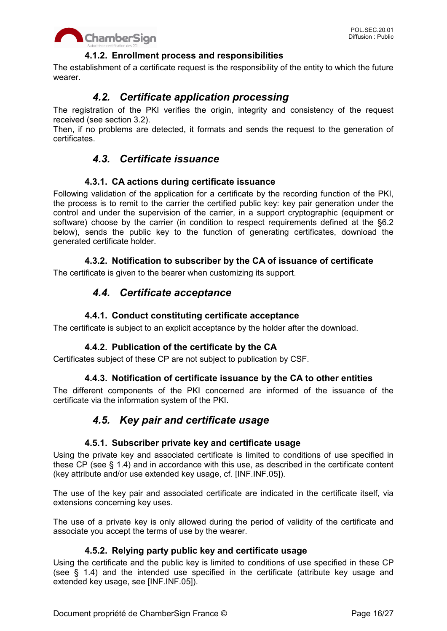

### **4.1.2. Enrollment process and responsibilities**

The establishment of a certificate request is the responsibility of the entity to which the future wearer.

# *4.2. Certificate application processing*

The registration of the PKI verifies the origin, integrity and consistency of the request received (see section 3.2).

Then, if no problems are detected, it formats and sends the request to the generation of certificates.

# *4.3. Certificate issuance*

#### **4.3.1. CA actions during certificate issuance**

Following validation of the application for a certificate by the recording function of the PKI, the process is to remit to the carrier the certified public key: key pair generation under the control and under the supervision of the carrier, in a support cryptographic (equipment or software) choose by the carrier (in condition to respect requirements defined at the §6.2 below), sends the public key to the function of generating certificates, download the generated certificate holder.

#### **4.3.2. Notification to subscriber by the CA of issuance of certificate**

The certificate is given to the bearer when customizing its support.

# *4.4. Certificate acceptance*

#### **4.4.1. Conduct constituting certificate acceptance**

The certificate is subject to an explicit acceptance by the holder after the download.

#### **4.4.2. Publication of the certificate by the CA**

Certificates subject of these CP are not subject to publication by CSF.

#### **4.4.3. Notification of certificate issuance by the CA to other entities**

The different components of the PKI concerned are informed of the issuance of the certificate via the information system of the PKI.

# *4.5. Key pair and certificate usage*

#### **4.5.1. Subscriber private key and certificate usage**

Using the private key and associated certificate is limited to conditions of use specified in these CP (see § 1.4) and in accordance with this use, as described in the certificate content (key attribute and/or use extended key usage, cf. [INF.INF.05]).

The use of the key pair and associated certificate are indicated in the certificate itself, via extensions concerning key uses.

The use of a private key is only allowed during the period of validity of the certificate and associate you accept the terms of use by the wearer.

#### **4.5.2. Relying party public key and certificate usage**

Using the certificate and the public key is limited to conditions of use specified in these CP (see § 1.4) and the intended use specified in the certificate (attribute key usage and extended key usage, see [INF.INF.05]).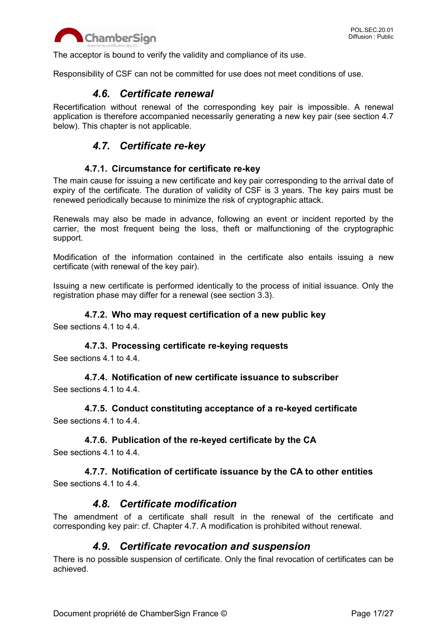

The acceptor is bound to verify the validity and compliance of its use.

Responsibility of CSF can not be committed for use does not meet conditions of use.

### *4.6. Certificate renewal*

Recertification without renewal of the corresponding key pair is impossible. A renewal application is therefore accompanied necessarily generating a new key pair (see section 4.7 below). This chapter is not applicable.

# *4.7. Certificate re-key*

#### **4.7.1. Circumstance for certificate re-key**

The main cause for issuing a new certificate and key pair corresponding to the arrival date of expiry of the certificate. The duration of validity of CSF is 3 years. The key pairs must be renewed periodically because to minimize the risk of cryptographic attack.

Renewals may also be made in advance, following an event or incident reported by the carrier, the most frequent being the loss, theft or malfunctioning of the cryptographic support.

Modification of the information contained in the certificate also entails issuing a new certificate (with renewal of the key pair).

Issuing a new certificate is performed identically to the process of initial issuance. Only the registration phase may differ for a renewal (see section 3.3).

#### **4.7.2. Who may request certification of a new public key**

See sections 4.1 to 4.4.

#### **4.7.3. Processing certificate re-keying requests**

See sections 4.1 to 4.4.

**4.7.4. Notification of new certificate issuance to subscriber** See sections 4.1 to 4.4.

**4.7.5. Conduct constituting acceptance of a re-keyed certificate** See sections 4.1 to 4.4.

#### **4.7.6. Publication of the re-keyed certificate by the CA**

See sections 4.1 to 4.4.

#### **4.7.7. Notification of certificate issuance by the CA to other entities** See sections 4.1 to 4.4.

# *4.8. Certificate modification*

The amendment of a certificate shall result in the renewal of the certificate and corresponding key pair: cf. Chapter 4.7. A modification is prohibited without renewal.

# *4.9. Certificate revocation and suspension*

There is no possible suspension of certificate. Only the final revocation of certificates can be achieved.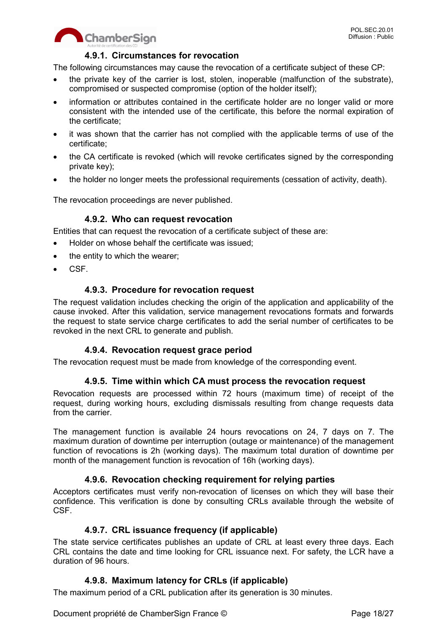

# **4.9.1. Circumstances for revocation**

The following circumstances may cause the revocation of a certificate subject of these CP:

- the private key of the carrier is lost, stolen, inoperable (malfunction of the substrate), compromised or suspected compromise (option of the holder itself);
- information or attributes contained in the certificate holder are no longer valid or more consistent with the intended use of the certificate, this before the normal expiration of the certificate;
- it was shown that the carrier has not complied with the applicable terms of use of the certificate;
- the CA certificate is revoked (which will revoke certificates signed by the corresponding private key);
- the holder no longer meets the professional requirements (cessation of activity, death).

The revocation proceedings are never published.

#### **4.9.2. Who can request revocation**

Entities that can request the revocation of a certificate subject of these are:

- Holder on whose behalf the certificate was issued;
- the entity to which the wearer;
- CSF.

#### **4.9.3. Procedure for revocation request**

The request validation includes checking the origin of the application and applicability of the cause invoked. After this validation, service management revocations formats and forwards the request to state service charge certificates to add the serial number of certificates to be revoked in the next CRL to generate and publish.

#### **4.9.4. Revocation request grace period**

The revocation request must be made from knowledge of the corresponding event.

#### **4.9.5. Time within which CA must process the revocation request**

Revocation requests are processed within 72 hours (maximum time) of receipt of the request, during working hours, excluding dismissals resulting from change requests data from the carrier.

The management function is available 24 hours revocations on 24, 7 days on 7. The maximum duration of downtime per interruption (outage or maintenance) of the management function of revocations is 2h (working days). The maximum total duration of downtime per month of the management function is revocation of 16h (working days).

#### **4.9.6. Revocation checking requirement for relying parties**

Acceptors certificates must verify non-revocation of licenses on which they will base their confidence. This verification is done by consulting CRLs available through the website of CSF.

#### **4.9.7. CRL issuance frequency (if applicable)**

The state service certificates publishes an update of CRL at least every three days. Each CRL contains the date and time looking for CRL issuance next. For safety, the LCR have a duration of 96 hours.

#### **4.9.8. Maximum latency for CRLs (if applicable)**

The maximum period of a CRL publication after its generation is 30 minutes.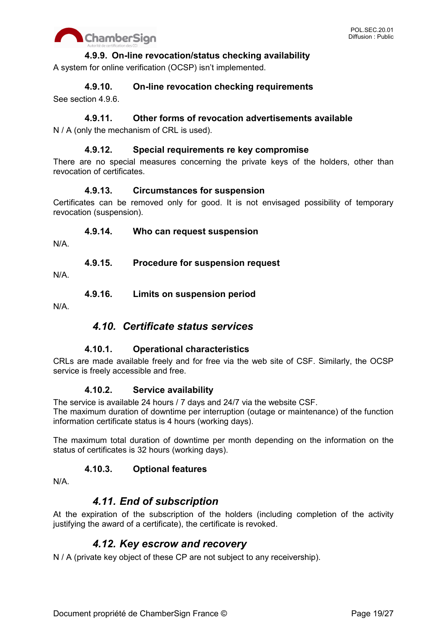

### **4.9.9. On-line revocation/status checking availability**

A system for online verification (OCSP) isn't implemented.

**4.9.10. On-line revocation checking requirements**

See section 4.9.6.

### **4.9.11. Other forms of revocation advertisements available**

N / A (only the mechanism of CRL is used).

#### **4.9.12. Special requirements re key compromise**

There are no special measures concerning the private keys of the holders, other than revocation of certificates.

#### **4.9.13. Circumstances for suspension**

Certificates can be removed only for good. It is not envisaged possibility of temporary revocation (suspension).

#### **4.9.14. Who can request suspension**

N/A.

**4.9.15. Procedure for suspension request**

N/A.

**4.9.16. Limits on suspension period**

N/A.

# *4.10. Certificate status services*

#### **4.10.1. Operational characteristics**

CRLs are made available freely and for free via the web site of CSF. Similarly, the OCSP service is freely accessible and free.

#### **4.10.2. Service availability**

The service is available 24 hours / 7 days and 24/7 via the website CSF.

The maximum duration of downtime per interruption (outage or maintenance) of the function information certificate status is 4 hours (working days).

The maximum total duration of downtime per month depending on the information on the status of certificates is 32 hours (working days).

#### **4.10.3. Optional features**

N/A.

# *4.11. End of subscription*

At the expiration of the subscription of the holders (including completion of the activity justifying the award of a certificate), the certificate is revoked.

# *4.12. Key escrow and recovery*

N / A (private key object of these CP are not subject to any receivership).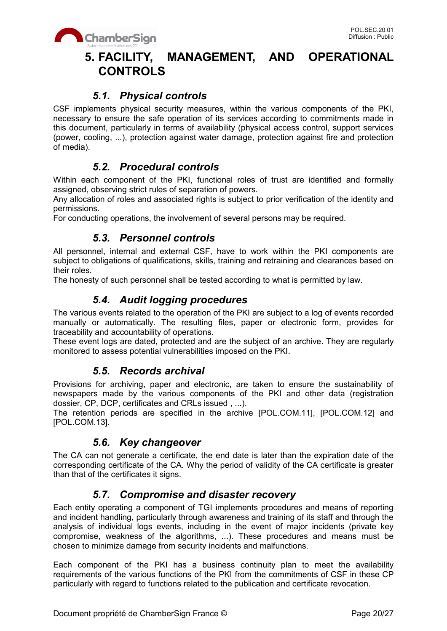

# **5. FACILITY, MANAGEMENT, AND OPERATIONAL CONTROLS**

# *5.1. Physical controls*

CSF implements physical security measures, within the various components of the PKI, necessary to ensure the safe operation of its services according to commitments made in this document, particularly in terms of availability (physical access control, support services (power, cooling, ...), protection against water damage, protection against fire and protection of media).

# *5.2. Procedural controls*

Within each component of the PKI, functional roles of trust are identified and formally assigned, observing strict rules of separation of powers.

Any allocation of roles and associated rights is subject to prior verification of the identity and permissions.

For conducting operations, the involvement of several persons may be required.

# *5.3. Personnel controls*

All personnel, internal and external CSF, have to work within the PKI components are subject to obligations of qualifications, skills, training and retraining and clearances based on their roles.

The honesty of such personnel shall be tested according to what is permitted by law.

# *5.4. Audit logging procedures*

The various events related to the operation of the PKI are subject to a log of events recorded manually or automatically. The resulting files, paper or electronic form, provides for traceability and accountability of operations.

These event logs are dated, protected and are the subject of an archive. They are regularly monitored to assess potential vulnerabilities imposed on the PKI.

# *5.5. Records archival*

Provisions for archiving, paper and electronic, are taken to ensure the sustainability of newspapers made by the various components of the PKI and other data (registration dossier, CP, DCP, certificates and CRLs issued , ...).

The retention periods are specified in the archive [POL.COM.11], [POL.COM.12] and [POL.COM.13].

# *5.6. Key changeover*

The CA can not generate a certificate, the end date is later than the expiration date of the corresponding certificate of the CA. Why the period of validity of the CA certificate is greater than that of the certificates it signs.

# *5.7. Compromise and disaster recovery*

Each entity operating a component of TGI implements procedures and means of reporting and incident handling, particularly through awareness and training of its staff and through the analysis of individual logs events, including in the event of major incidents (private key compromise, weakness of the algorithms, ...). These procedures and means must be chosen to minimize damage from security incidents and malfunctions.

Each component of the PKI has a business continuity plan to meet the availability requirements of the various functions of the PKI from the commitments of CSF in these CP particularly with regard to functions related to the publication and certificate revocation.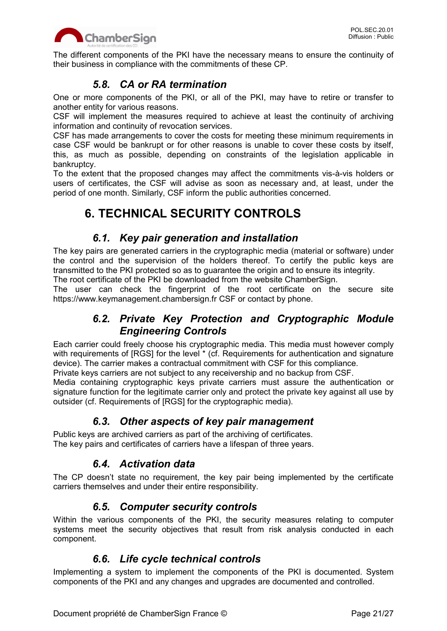

The different components of the PKI have the necessary means to ensure the continuity of their business in compliance with the commitments of these CP.

# *5.8. CA or RA termination*

One or more components of the PKI, or all of the PKI, may have to retire or transfer to another entity for various reasons.

CSF will implement the measures required to achieve at least the continuity of archiving information and continuity of revocation services.

CSF has made arrangements to cover the costs for meeting these minimum requirements in case CSF would be bankrupt or for other reasons is unable to cover these costs by itself, this, as much as possible, depending on constraints of the legislation applicable in bankruptcy.

To the extent that the proposed changes may affect the commitments vis-à-vis holders or users of certificates, the CSF will advise as soon as necessary and, at least, under the period of one month. Similarly, CSF inform the public authorities concerned.

# **6. TECHNICAL SECURITY CONTROLS**

# *6.1. Key pair generation and installation*

The key pairs are generated carriers in the cryptographic media (material or software) under the control and the supervision of the holders thereof. To certify the public keys are transmitted to the PKI protected so as to guarantee the origin and to ensure its integrity.

The root certificate of the PKI be downloaded from the website ChamberSign.

The user can check the fingerprint of the root certificate on the secure site https://www.keymanagement.chambersign.fr CSF or contact by phone.

# *6.2. Private Key Protection and Cryptographic Module Engineering Controls*

Each carrier could freely choose his cryptographic media. This media must however comply with requirements of [RGS] for the level  $*$  (cf. Requirements for authentication and signature device). The carrier makes a contractual commitment with CSF for this compliance.

Private keys carriers are not subject to any receivership and no backup from CSF.

Media containing cryptographic keys private carriers must assure the authentication or signature function for the legitimate carrier only and protect the private key against all use by outsider (cf. Requirements of [RGS] for the cryptographic media).

# *6.3. Other aspects of key pair management*

Public keys are archived carriers as part of the archiving of certificates. The key pairs and certificates of carriers have a lifespan of three years.

# *6.4. Activation data*

The CP doesn't state no requirement, the key pair being implemented by the certificate carriers themselves and under their entire responsibility.

# *6.5. Computer security controls*

Within the various components of the PKI, the security measures relating to computer systems meet the security objectives that result from risk analysis conducted in each component.

# *6.6. Life cycle technical controls*

Implementing a system to implement the components of the PKI is documented. System components of the PKI and any changes and upgrades are documented and controlled.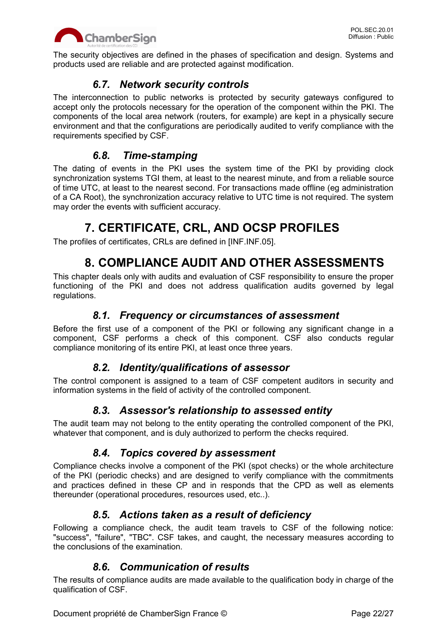

The security objectives are defined in the phases of specification and design. Systems and products used are reliable and are protected against modification.

# *6.7. Network security controls*

The interconnection to public networks is protected by security gateways configured to accept only the protocols necessary for the operation of the component within the PKI. The components of the local area network (routers, for example) are kept in a physically secure environment and that the configurations are periodically audited to verify compliance with the requirements specified by CSF.

# *6.8. Time-stamping*

The dating of events in the PKI uses the system time of the PKI by providing clock synchronization systems TGI them, at least to the nearest minute, and from a reliable source of time UTC, at least to the nearest second. For transactions made offline (eg administration of a CA Root), the synchronization accuracy relative to UTC time is not required. The system may order the events with sufficient accuracy.

# **7. CERTIFICATE, CRL, AND OCSP PROFILES**

The profiles of certificates, CRLs are defined in [INF.INF.05].

# **8. COMPLIANCE AUDIT AND OTHER ASSESSMENTS**

This chapter deals only with audits and evaluation of CSF responsibility to ensure the proper functioning of the PKI and does not address qualification audits governed by legal regulations.

# *8.1. Frequency or circumstances of assessment*

Before the first use of a component of the PKI or following any significant change in a component, CSF performs a check of this component. CSF also conducts regular compliance monitoring of its entire PKI, at least once three years.

# *8.2. Identity/qualifications of assessor*

The control component is assigned to a team of CSF competent auditors in security and information systems in the field of activity of the controlled component.

# *8.3. Assessor's relationship to assessed entity*

The audit team may not belong to the entity operating the controlled component of the PKI, whatever that component, and is duly authorized to perform the checks required.

# *8.4. Topics covered by assessment*

Compliance checks involve a component of the PKI (spot checks) or the whole architecture of the PKI (periodic checks) and are designed to verify compliance with the commitments and practices defined in these CP and in responds that the CPD as well as elements thereunder (operational procedures, resources used, etc..).

# *8.5. Actions taken as a result of deficiency*

Following a compliance check, the audit team travels to CSF of the following notice: "success", "failure", "TBC". CSF takes, and caught, the necessary measures according to the conclusions of the examination.

# *8.6. Communication of results*

The results of compliance audits are made available to the qualification body in charge of the qualification of CSF.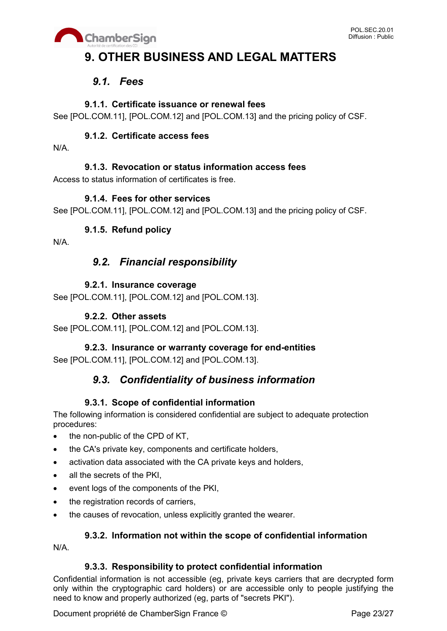

# **9. OTHER BUSINESS AND LEGAL MATTERS**

# *9.1. Fees*

# **9.1.1. Certificate issuance or renewal fees**

See [POL.COM.11], [POL.COM.12] and [POL.COM.13] and the pricing policy of CSF.

# **9.1.2. Certificate access fees**

N/A.

# **9.1.3. Revocation or status information access fees**

Access to status information of certificates is free.

### **9.1.4. Fees for other services**

See [POL.COM.11], [POL.COM.12] and [POL.COM.13] and the pricing policy of CSF.

# **9.1.5. Refund policy**

N/A.

# *9.2. Financial responsibility*

# **9.2.1. Insurance coverage**

See [POL.COM.11], [POL.COM.12] and [POL.COM.13].

# **9.2.2. Other assets**

See [POL.COM.11], [POL.COM.12] and [POL.COM.13].

# **9.2.3. Insurance or warranty coverage for end-entities**

See [POL.COM.11], [POL.COM.12] and [POL.COM.13].

# *9.3. Confidentiality of business information*

# **9.3.1. Scope of confidential information**

The following information is considered confidential are subject to adequate protection procedures:

- the non-public of the CPD of KT,
- the CA's private key, components and certificate holders,
- activation data associated with the CA private keys and holders,
- all the secrets of the PKI.
- event logs of the components of the PKI,
- the registration records of carriers,
- the causes of revocation, unless explicitly granted the wearer.

# **9.3.2. Information not within the scope of confidential information**

N/A.

#### **9.3.3. Responsibility to protect confidential information**

Confidential information is not accessible (eg, private keys carriers that are decrypted form only within the cryptographic card holders) or are accessible only to people justifying the need to know and properly authorized (eg, parts of "secrets PKI").

Document propriété de ChamberSign France © Page 23/27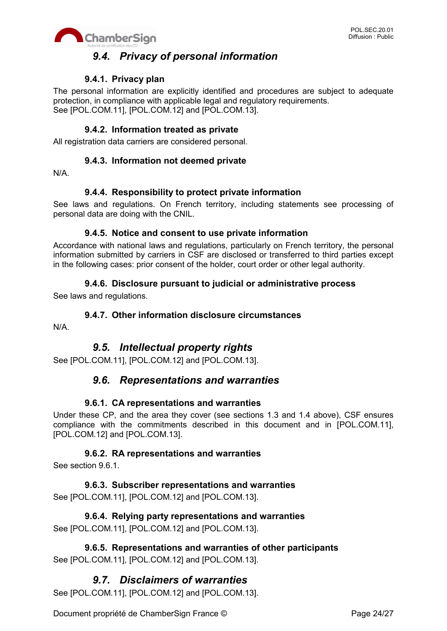



# *9.4. Privacy of personal information*

## **9.4.1. Privacy plan**

The personal information are explicitly identified and procedures are subject to adequate protection, in compliance with applicable legal and regulatory requirements. See [POL.COM.11], [POL.COM.12] and [POL.COM.13].

#### **9.4.2. Information treated as private**

All registration data carriers are considered personal.

#### **9.4.3. Information not deemed private**

N/A.

#### **9.4.4. Responsibility to protect private information**

See laws and regulations. On French territory, including statements see processing of personal data are doing with the CNIL.

#### **9.4.5. Notice and consent to use private information**

Accordance with national laws and regulations, particularly on French territory, the personal information submitted by carriers in CSF are disclosed or transferred to third parties except in the following cases: prior consent of the holder, court order or other legal authority.

#### **9.4.6. Disclosure pursuant to judicial or administrative process**

See laws and regulations.

#### **9.4.7. Other information disclosure circumstances**

N/A.

# *9.5. Intellectual property rights*

See [POL.COM.11], [POL.COM.12] and [POL.COM.13].

# *9.6. Representations and warranties*

#### **9.6.1. CA representations and warranties**

Under these CP, and the area they cover (see sections 1.3 and 1.4 above), CSF ensures compliance with the commitments described in this document and in [POL.COM.11], [POL.COM.12] and [POL.COM.13].

#### **9.6.2. RA representations and warranties**

See section 9.6.1.

**9.6.3. Subscriber representations and warranties** See [POL.COM.11], [POL.COM.12] and [POL.COM.13].

**9.6.4. Relying party representations and warranties** See [POL.COM.11], [POL.COM.12] and [POL.COM.13].

**9.6.5. Representations and warranties of other participants** See [POL.COM.11], [POL.COM.12] and [POL.COM.13].

# *9.7. Disclaimers of warranties*

See [POL.COM.11], [POL.COM.12] and [POL.COM.13].

Document propriété de ChamberSign France © Page 24/27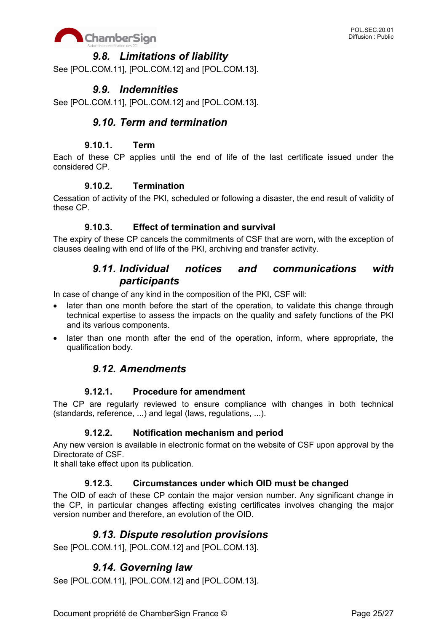

# *9.8. Limitations of liability*

See [POL.COM.11], [POL.COM.12] and [POL.COM.13].

# *9.9. Indemnities*

See [POL.COM.11], [POL.COM.12] and [POL.COM.13].

# *9.10. Term and termination*

### **9.10.1. Term**

Each of these CP applies until the end of life of the last certificate issued under the considered CP.

#### **9.10.2. Termination**

Cessation of activity of the PKI, scheduled or following a disaster, the end result of validity of these CP.

### **9.10.3. Effect of termination and survival**

The expiry of these CP cancels the commitments of CSF that are worn, with the exception of clauses dealing with end of life of the PKI, archiving and transfer activity.

# *9.11. Individual notices and communications with participants*

In case of change of any kind in the composition of the PKI, CSF will:

- later than one month before the start of the operation, to validate this change through technical expertise to assess the impacts on the quality and safety functions of the PKI and its various components.
- later than one month after the end of the operation, inform, where appropriate, the qualification body.

# *9.12. Amendments*

#### **9.12.1. Procedure for amendment**

The CP are regularly reviewed to ensure compliance with changes in both technical (standards, reference, ...) and legal (laws, regulations, ...).

#### **9.12.2. Notification mechanism and period**

Any new version is available in electronic format on the website of CSF upon approval by the Directorate of CSF.

It shall take effect upon its publication.

#### **9.12.3. Circumstances under which OID must be changed**

The OID of each of these CP contain the major version number. Any significant change in the CP, in particular changes affecting existing certificates involves changing the major version number and therefore, an evolution of the OID.

# *9.13. Dispute resolution provisions*

See [POL.COM.11], [POL.COM.12] and [POL.COM.13].

# *9.14. Governing law*

See [POL.COM.11], [POL.COM.12] and [POL.COM.13].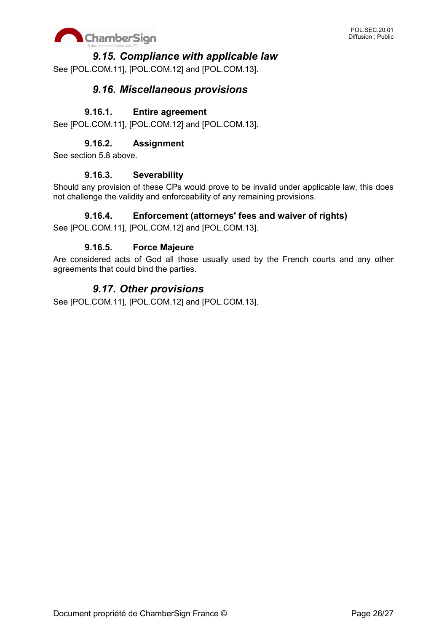

# *9.15. Compliance with applicable law*

See [POL.COM.11], [POL.COM.12] and [POL.COM.13].

# *9.16. Miscellaneous provisions*

#### **9.16.1. Entire agreement**

See [POL.COM.11], [POL.COM.12] and [POL.COM.13].

## **9.16.2. Assignment**

See section 5.8 above.

#### **9.16.3. Severability**

Should any provision of these CPs would prove to be invalid under applicable law, this does not challenge the validity and enforceability of any remaining provisions.

#### **9.16.4. Enforcement (attorneys' fees and waiver of rights)**

See [POL.COM.11], [POL.COM.12] and [POL.COM.13].

#### **9.16.5. Force Majeure**

Are considered acts of God all those usually used by the French courts and any other agreements that could bind the parties.

# *9.17. Other provisions*

See [POL.COM.11], [POL.COM.12] and [POL.COM.13].